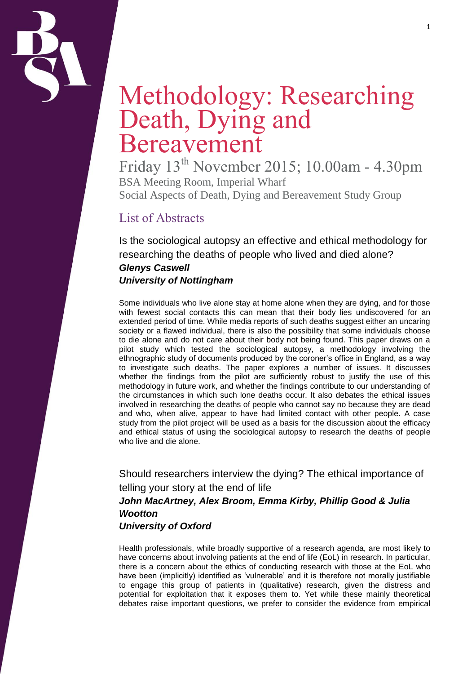

# Methodology: Researching Death, Dying and Bereavement

Friday 13th November 2015; 10.00am - 4.30pm BSA Meeting Room, Imperial Wharf Social Aspects of Death, Dying and Bereavement Study Group

## List of Abstracts

Is the sociological autopsy an effective and ethical methodology for researching the deaths of people who lived and died alone? *Glenys Caswell University of Nottingham*

Some individuals who live alone stay at home alone when they are dying, and for those with fewest social contacts this can mean that their body lies undiscovered for an extended period of time. While media reports of such deaths suggest either an uncaring society or a flawed individual, there is also the possibility that some individuals choose to die alone and do not care about their body not being found. This paper draws on a pilot study which tested the sociological autopsy, a methodology involving the ethnographic study of documents produced by the coroner's office in England, as a way to investigate such deaths. The paper explores a number of issues. It discusses whether the findings from the pilot are sufficiently robust to justify the use of this methodology in future work, and whether the findings contribute to our understanding of the circumstances in which such lone deaths occur. It also debates the ethical issues involved in researching the deaths of people who cannot say no because they are dead and who, when alive, appear to have had limited contact with other people. A case study from the pilot project will be used as a basis for the discussion about the efficacy and ethical status of using the sociological autopsy to research the deaths of people who live and die alone.

Should researchers interview the dying? The ethical importance of telling your story at the end of life *John MacArtney, Alex Broom, Emma Kirby, Phillip Good & Julia Wootton University of Oxford*

Health professionals, while broadly supportive of a research agenda, are most likely to have concerns about involving patients at the end of life (EoL) in research. In particular, there is a concern about the ethics of conducting research with those at the EoL who have been (implicitly) identified as 'vulnerable' and it is therefore not morally justifiable to engage this group of patients in (qualitative) research, given the distress and potential for exploitation that it exposes them to. Yet while these mainly theoretical debates raise important questions, we prefer to consider the evidence from empirical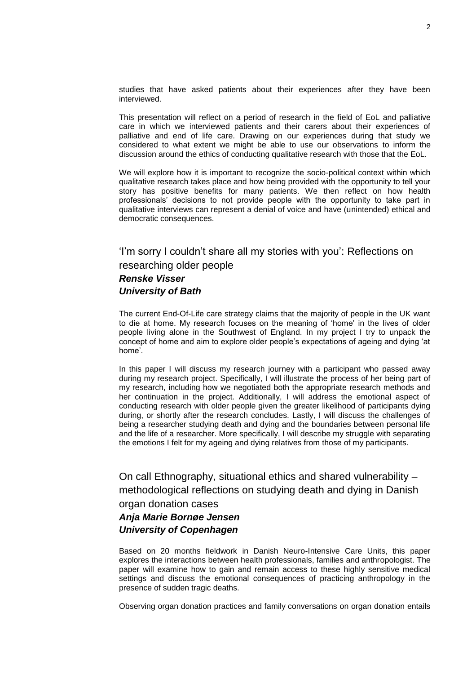studies that have asked patients about their experiences after they have been interviewed.

This presentation will reflect on a period of research in the field of EoL and palliative care in which we interviewed patients and their carers about their experiences of palliative and end of life care. Drawing on our experiences during that study we considered to what extent we might be able to use our observations to inform the discussion around the ethics of conducting qualitative research with those that the EoL.

We will explore how it is important to recognize the socio-political context within which qualitative research takes place and how being provided with the opportunity to tell your story has positive benefits for many patients. We then reflect on how health professionals' decisions to not provide people with the opportunity to take part in qualitative interviews can represent a denial of voice and have (unintended) ethical and democratic consequences.

'I'm sorry I couldn't share all my stories with you': Reflections on researching older people *Renske Visser University of Bath*

The current End-Of-Life care strategy claims that the majority of people in the UK want to die at home. My research focuses on the meaning of 'home' in the lives of older people living alone in the Southwest of England. In my project I try to unpack the concept of home and aim to explore older people's expectations of ageing and dying 'at home'.

In this paper I will discuss my research journey with a participant who passed away during my research project. Specifically, I will illustrate the process of her being part of my research, including how we negotiated both the appropriate research methods and her continuation in the project. Additionally, I will address the emotional aspect of conducting research with older people given the greater likelihood of participants dying during, or shortly after the research concludes. Lastly, I will discuss the challenges of being a researcher studying death and dying and the boundaries between personal life and the life of a researcher. More specifically, I will describe my struggle with separating the emotions I felt for my ageing and dying relatives from those of my participants.

On call Ethnography, situational ethics and shared vulnerability – methodological reflections on studying death and dying in Danish organ donation cases

## *Anja Marie Bornøe Jensen University of Copenhagen*

Based on 20 months fieldwork in Danish Neuro-Intensive Care Units, this paper explores the interactions between health professionals, families and anthropologist. The paper will examine how to gain and remain access to these highly sensitive medical settings and discuss the emotional consequences of practicing anthropology in the presence of sudden tragic deaths.

Observing organ donation practices and family conversations on organ donation entails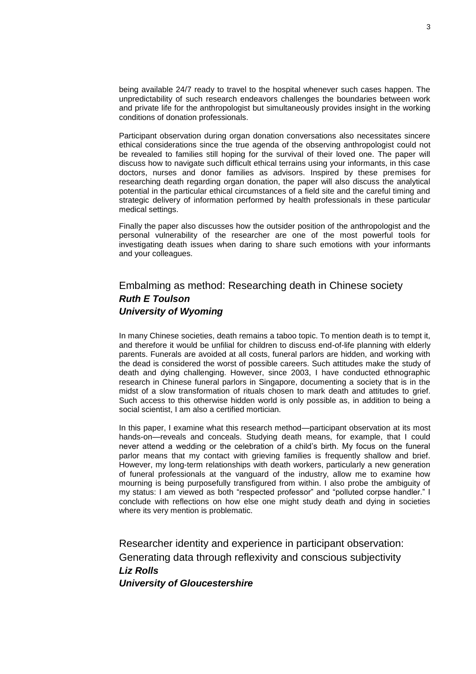being available 24/7 ready to travel to the hospital whenever such cases happen. The unpredictability of such research endeavors challenges the boundaries between work and private life for the anthropologist but simultaneously provides insight in the working conditions of donation professionals.

Participant observation during organ donation conversations also necessitates sincere ethical considerations since the true agenda of the observing anthropologist could not be revealed to families still hoping for the survival of their loved one. The paper will discuss how to navigate such difficult ethical terrains using your informants, in this case doctors, nurses and donor families as advisors. Inspired by these premises for researching death regarding organ donation, the paper will also discuss the analytical potential in the particular ethical circumstances of a field site and the careful timing and strategic delivery of information performed by health professionals in these particular medical settings.

Finally the paper also discusses how the outsider position of the anthropologist and the personal vulnerability of the researcher are one of the most powerful tools for investigating death issues when daring to share such emotions with your informants and your colleagues.

## Embalming as method: Researching death in Chinese society *Ruth E Toulson University of Wyoming*

In many Chinese societies, death remains a taboo topic. To mention death is to tempt it, and therefore it would be unfilial for children to discuss end-of-life planning with elderly parents. Funerals are avoided at all costs, funeral parlors are hidden, and working with the dead is considered the worst of possible careers. Such attitudes make the study of death and dying challenging. However, since 2003, I have conducted ethnographic research in Chinese funeral parlors in Singapore, documenting a society that is in the midst of a slow transformation of rituals chosen to mark death and attitudes to grief. Such access to this otherwise hidden world is only possible as, in addition to being a social scientist, I am also a certified mortician.

In this paper, I examine what this research method—participant observation at its most hands-on—reveals and conceals. Studying death means, for example, that I could never attend a wedding or the celebration of a child's birth. My focus on the funeral parlor means that my contact with grieving families is frequently shallow and brief. However, my long-term relationships with death workers, particularly a new generation of funeral professionals at the vanguard of the industry, allow me to examine how mourning is being purposefully transfigured from within. I also probe the ambiguity of my status: I am viewed as both "respected professor" and "polluted corpse handler." I conclude with reflections on how else one might study death and dying in societies where its very mention is problematic.

Researcher identity and experience in participant observation: Generating data through reflexivity and conscious subjectivity *Liz Rolls University of Gloucestershire*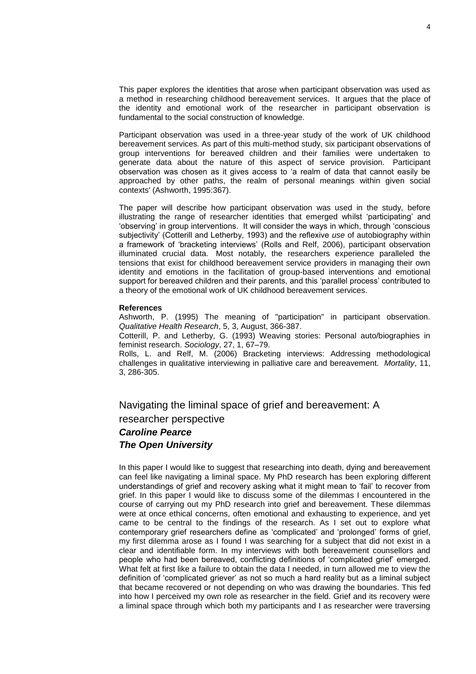This paper explores the identities that arose when participant observation was used as a method in researching childhood bereavement services. It argues that the place of the identity and emotional work of the researcher in participant observation is fundamental to the social construction of knowledge.

Participant observation was used in a three-year study of the work of UK childhood bereavement services. As part of this multi-method study, six participant observations of group interventions for bereaved children and their families were undertaken to generate data about the nature of this aspect of service provision. Participant observation was chosen as it gives access to 'a realm of data that cannot easily be approached by other paths, the realm of personal meanings within given social contexts' (Ashworth, 1995:367).

The paper will describe how participant observation was used in the study, before illustrating the range of researcher identities that emerged whilst 'participating' and 'observing' in group interventions. It will consider the ways in which, through 'conscious subjectivity' (Cotterill and Letherby, 1993) and the reflexive *use* of autobiography within a framework of 'bracketing interviews' (Rolls and Relf, 2006), participant observation illuminated crucial data. Most notably, the researchers experience paralleled the tensions that exist for childhood bereavement service providers in managing their own identity and emotions in the facilitation of group-based interventions and emotional support for bereaved children and their parents, and this 'parallel process' contributed to a theory of the emotional work of UK childhood bereavement services.

#### **References**

Ashworth, P. (1995) The meaning of "participation" in participant observation. *Qualitative Health Research*, 5, 3, August, 366-387.

Cotterill, P. and Letherby, G. (1993) Weaving stories: Personal auto/biographies in feminist research. *Sociology*, 27, 1, 67–79.

Rolls, L. and Relf, M. (2006) Bracketing interviews: Addressing methodological challenges in qualitative interviewing in palliative care and bereavement. *Mortality*, 11, 3, 286-305.

Navigating the liminal space of grief and bereavement: A

researcher perspective

### *Caroline Pearce The Open University*

In this paper I would like to suggest that researching into death, dying and bereavement can feel like navigating a liminal space. My PhD research has been exploring different understandings of grief and recovery asking what it might mean to 'fail' to recover from grief. In this paper I would like to discuss some of the dilemmas I encountered in the course of carrying out my PhD research into grief and bereavement. These dilemmas were at once ethical concerns, often emotional and exhausting to experience, and yet came to be central to the findings of the research. As I set out to explore what contemporary grief researchers define as 'complicated' and 'prolonged' forms of grief, my first dilemma arose as I found I was searching for a subject that did not exist in a clear and identifiable form. In my interviews with both bereavement counsellors and people who had been bereaved, conflicting definitions of 'complicated grief' emerged. What felt at first like a failure to obtain the data I needed, in turn allowed me to view the definition of 'complicated griever' as not so much a hard reality but as a liminal subject that became recovered or not depending on who was drawing the boundaries. This fed into how I perceived my own role as researcher in the field. Grief and its recovery were a liminal space through which both my participants and I as researcher were traversing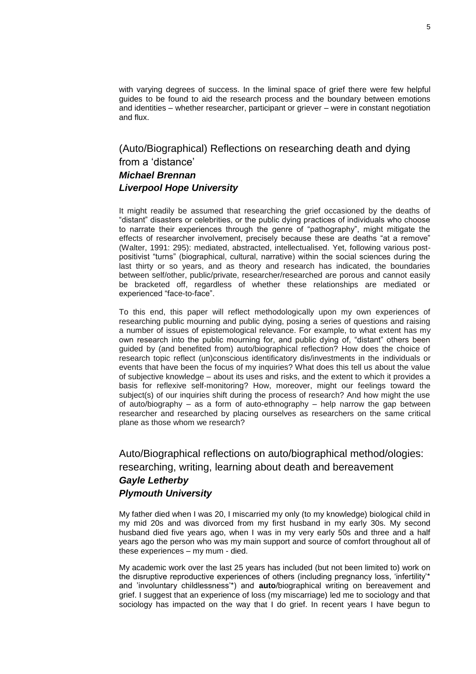with varying degrees of success. In the liminal space of grief there were few helpful guides to be found to aid the research process and the boundary between emotions and identities – whether researcher, participant or griever – were in constant negotiation and flux.

(Auto/Biographical) Reflections on researching death and dying from a 'distance' *Michael Brennan Liverpool Hope University*

It might readily be assumed that researching the grief occasioned by the deaths of "distant" disasters or celebrities, or the public dying practices of individuals who choose to narrate their experiences through the genre of "pathography", might mitigate the effects of researcher involvement, precisely because these are deaths "at a remove" (Walter, 1991: 295): mediated, abstracted, intellectualised. Yet, following various postpositivist "turns" (biographical, cultural, narrative) within the social sciences during the last thirty or so years, and as theory and research has indicated, the boundaries between self/other, public/private, researcher/researched are porous and cannot easily be bracketed off, regardless of whether these relationships are mediated or experienced "face-to-face".

To this end, this paper will reflect methodologically upon my own experiences of researching public mourning and public dying, posing a series of questions and raising a number of issues of epistemological relevance. For example, to what extent has my own research into the public mourning for, and public dying of, "distant" others been guided by (and benefited from) auto/biographical reflection? How does the choice of research topic reflect (un)conscious identificatory dis/investments in the individuals or events that have been the focus of my inquiries? What does this tell us about the value of subjective knowledge – about its uses and risks, and the extent to which it provides a basis for reflexive self-monitoring? How, moreover, might our feelings toward the subject(s) of our inquiries shift during the process of research? And how might the use of auto/biography – as a form of auto-ethnography – help narrow the gap between researcher and researched by placing ourselves as researchers on the same critical plane as those whom we research?

## Auto/Biographical reflections on auto/biographical method/ologies: researching, writing, learning about death and bereavement *Gayle Letherby Plymouth University*

My father died when I was 20, I miscarried my only (to my knowledge) biological child in my mid 20s and was divorced from my first husband in my early 30s. My second husband died five years ago, when I was in my very early 50s and three and a half years ago the person who was my main support and source of comfort throughout all of these experiences – my mum - died.

My academic work over the last 25 years has included (but not been limited to) work on the disruptive reproductive experiences of others (including pregnancy loss, 'infertility'\* and 'involuntary childlessness'\*) and **auto**/biographical writing on bereavement and grief. I suggest that an experience of loss (my miscarriage) led me to sociology and that sociology has impacted on the way that I do grief. In recent years I have begun to